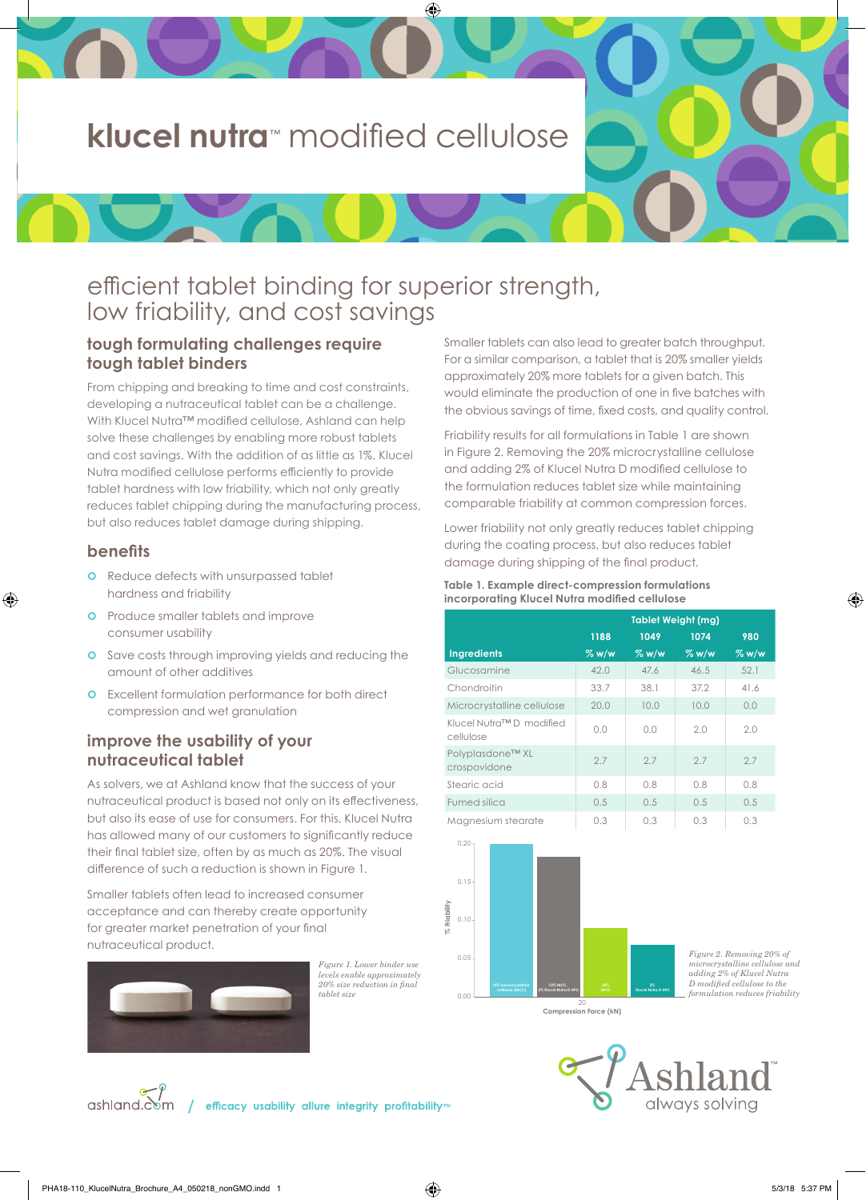# **klucel nutra**™ modified cellulose

⊕

# efficient tablet binding for superior strength, low friability, and cost savings

## **tough formulating challenges require tough tablet binders**

From chipping and breaking to time and cost constraints, developing a nutraceutical tablet can be a challenge. With Klucel Nutra™ modified cellulose, Ashland can help solve these challenges by enabling more robust tablets and cost savings. With the addition of as little as 1%, Klucel Nutra modified cellulose performs efficiently to provide tablet hardness with low friability, which not only greatly reduces tablet chipping during the manufacturing process, but also reduces tablet damage during shipping.

#### **benefits**

⊕

- **o** Reduce defects with unsurpassed tablet hardness and friability
- **o** Produce smaller tablets and improve consumer usability
- **o** Save costs through improving yields and reducing the amount of other additives
- **o** Excellent formulation performance for both direct compression and wet granulation

## **improve the usability of your nutraceutical tablet**

As solvers, we at Ashland know that the success of your nutraceutical product is based not only on its effectiveness, but also its ease of use for consumers. For this, Klucel Nutra has allowed many of our customers to significantly reduce their final tablet size, often by as much as 20%. The visual difference of such a reduction is shown in Figure 1.

Smaller tablets often lead to increased consumer acceptance and can thereby create opportunity for greater market penetration of your final nutraceutical product.



Figure 1. Lower binder use levels enable approximately<br>20% size reduction in final tablet size

efficacy usability allure integrity profitability™

Smaller tablets can also lead to greater batch throughput. For a similar comparison, a tablet that is 20% smaller yields approximately 20% more tablets for a given batch. This would eliminate the production of one in five batches with the obvious savings of time, fixed costs, and quality control.

Friability results for all formulations in Table 1 are shown in Figure 2. Removing the 20% microcrystalline cellulose and adding 2% of Klucel Nutra D modified cellulose to the formulation reduces tablet size while maintaining comparable friability at common compression forces.

Lower friability not only greatly reduces tablet chipping during the coating process, but also reduces tablet damage during shipping of the final product.

#### **Table 1. Example direct-compression formulations incorporating Klucel Nutra modified cellulose**

|                                      | <b>Tablet Weight (mg)</b> |       |       |       |
|--------------------------------------|---------------------------|-------|-------|-------|
|                                      | 1188                      | 1049  | 1074  | 980   |
| <b>Ingredients</b>                   | % w/w                     | % w/w | % w/w | % w/w |
| Glucosamine                          | 42.0                      | 47.6  | 46.5  | 52.1  |
| Chondroitin                          | 33.7                      | 38.1  | 37.2  | 41.6  |
| Microcrystalline cellulose           | 20.0                      | 10.0  | 10.0  | 0.0   |
| Klucel Nutra™D modified<br>cellulose | 0.0                       | 0.0   | 2.0   | 2.0   |
| Polyplasdone™ XL<br>crospovidone     | 2.7                       | 27    | 27    | 2.7   |
| Stearic acid                         | 0.8                       | 0.8   | 0.8   | 0.8   |
| Fumed silica                         | 0.5                       | 0.5   | 0.5   | 0.5   |
| Magnesium stearate                   | 0.3                       | 0.3   | 0.3   | 0.3   |



Figure 2. Removing 20% of microcrystalline cellulose and adding 2% of Klucel Nutra<br>D modified cellulose to the formulation reduces friability

20 **Compression Force (kN)**



ashland.com

⊕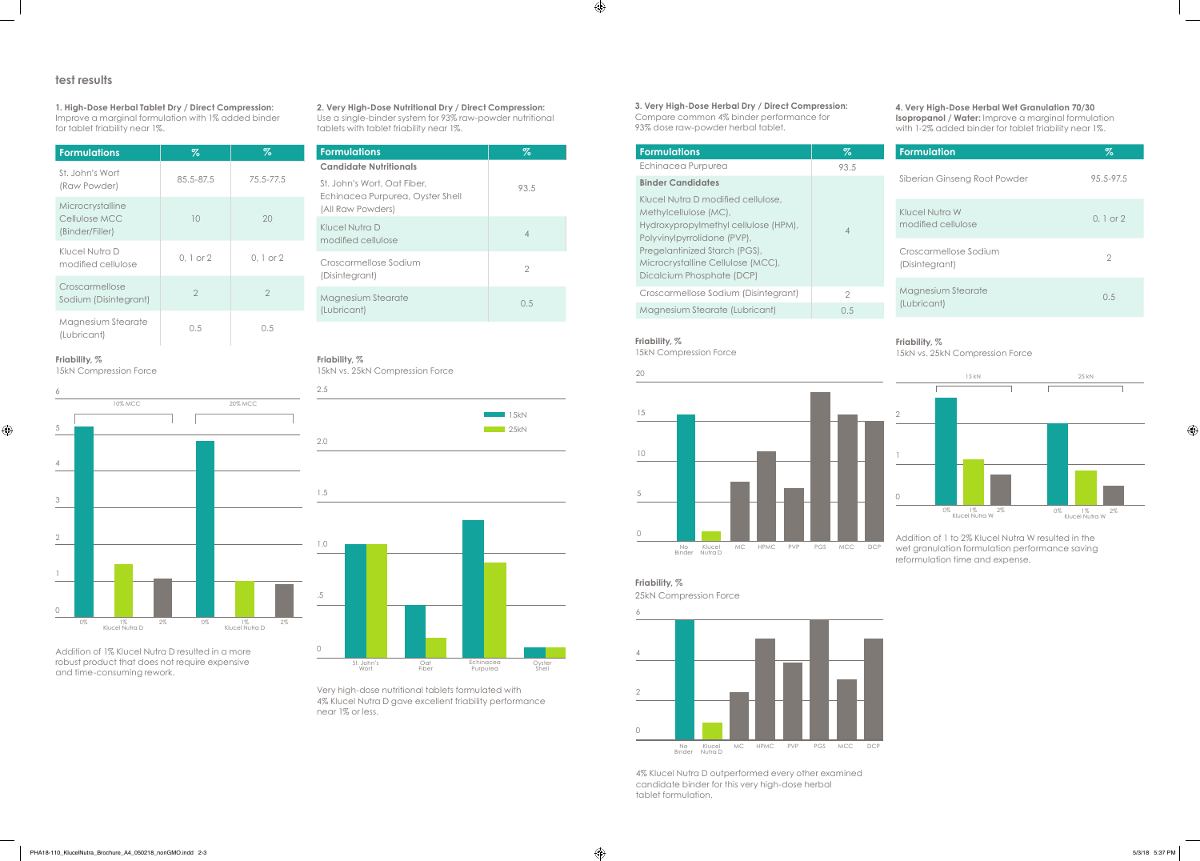**2. Very High-Dose Nutritional Dry / Direct Compression:** Use a single-binder system for 93% raw-powder nutritional tablets with tablet friability near 1%.

| <b>Formulations</b>                                                                  | Z    |
|--------------------------------------------------------------------------------------|------|
| <b>Candidate Nutritionals</b>                                                        |      |
| St. John's Wort, Oat Fiber,<br>Echinacea Purpurea, Oyster Shell<br>(All Raw Powders) | 93.5 |
| Klucel Nutra D<br>modified cellulose                                                 | 4    |
| Croscarmellose Sodium<br>(Disintegrant)                                              | 2    |
| Magnesium Stearate<br>(Lubricant)                                                    | 0.5  |

Very high-dose nutritional tablets formulated with 4% Klucel Nutra D gave excellent friability performance near 1% or less.

## **Friability, %**

15kN vs. 25kN Compression Force





**1. High-Dose Herbal Tablet Dry / Direct Compression:** Improve a marginal formulation with 1% added binder for tablet friability near 1%.

### **test results**

| <b>Formulations</b>                                  | Z              | Z.             |
|------------------------------------------------------|----------------|----------------|
| St. John's Wort<br>(Raw Powder)                      | 85.5-87.5      | 75.5-77.5      |
| Microcrystalline<br>Cellulose MCC<br>(Binder/Filler) | 10             | 20             |
| Klucel Nutra D<br>modified cellulose                 | $0, 1$ or $2$  | $0.1$ or $2$   |
| Croscarmellose<br>Sodium (Disintegrant)              | $\overline{2}$ | $\overline{2}$ |
| Magnesium Stearate<br>(Lubricant)                    | 0.5            | 0.5            |

Addition of 1% Klucel Nutra D resulted in a more robust product that does not require expensive and time-consuming rework.

### **Friability, %**

 $\bigoplus$ 

15kN Compression Force



## **4. Very High-Dose Herbal Wet Granulation 70/30**

**Isopropanol / Water:** Improve a marginal formulation with 1-2% added binder for tablet friability near 1%.

| <b>Formulation</b>                      | %             |
|-----------------------------------------|---------------|
| Siberian Ginseng Root Powder            | 95.5-97.5     |
| Klucel Nutra W<br>modified cellulose    | $0.1$ or $2$  |
| Croscarmellose Sodium<br>(Disintegrant) | $\mathcal{P}$ |
| Magnesium Stearate<br>(Lubricant)       | 0.5           |

Addition of 1 to 2% Klucel Nutra W resulted in the wet granulation formulation performance saving reformulation time and expense.



♦

#### **Friability, %**

15kN vs. 25kN Compression Force



**3. Very High-Dose Herbal Dry / Direct Compression:** Compare common 4% binder performance for 93% dose raw-powder herbal tablet.

| <b>Formulations</b>                                                                                                                                                                                                                   | Z    |
|---------------------------------------------------------------------------------------------------------------------------------------------------------------------------------------------------------------------------------------|------|
| Echinacea Purpurea                                                                                                                                                                                                                    | 93.5 |
| <b>Binder Candidates</b>                                                                                                                                                                                                              |      |
| Klucel Nutra D modified cellulose.<br>Methylcellulose (MC),<br>Hydroxypropylmethyl cellulose (HPM),<br>Polyvinylpyrrolidone (PVP),<br>Pregelantinized Starch (PGS),<br>Microcrystalline Cellulose (MCC),<br>Dicalcium Phosphate (DCP) | ⊿    |
| Croscarmellose Sodium (Disintegrant)                                                                                                                                                                                                  | 2    |
| Magnesium Stearate (Lubricant)                                                                                                                                                                                                        | ()5  |

**Friability, %**

25kN Compression Force



## **Friability, %**

 $\bigoplus$ 

15kN Compression Force



4% Klucel Nutra D outperformed every other examined candidate binder for this very high-dose herbal tablet formulation.